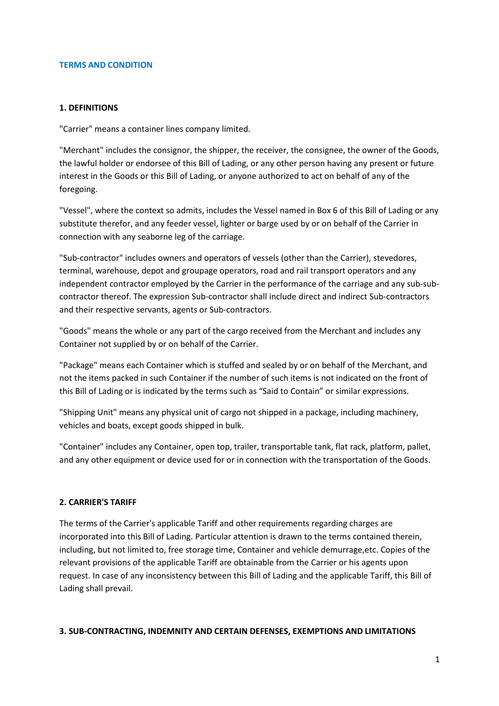#### **TERMS AND CONDITION**

#### **1. DEFINITIONS**

"Carrier" means a container lines company limited.

"Merchant" includes the consignor, the shipper, the receiver, the consignee, the owner of the Goods, the lawful holder or endorsee of this Bill of Lading, or any other person having any present or future interest in the Goods or this Bill of Lading, or anyone authorized to act on behalf of any of the foregoing.

"Vessel", where the context so admits, includes the Vessel named in Box 6 of this Bill of Lading or any substitute therefor, and any feeder vessel, lighter or barge used by or on behalf of the Carrier in connection with any seaborne leg of the carriage.

"Sub-contractor" includes owners and operators of vessels (other than the Carrier), stevedores, terminal, warehouse, depot and groupage operators, road and rail transport operators and any independent contractor employed by the Carrier in the performance of the carriage and any sub-subcontractor thereof. The expression Sub-contractor shall include direct and indirect Sub-contractors and their respective servants, agents or Sub-contractors.

"Goods" means the whole or any part of the cargo received from the Merchant and includes any Container not supplied by or on behalf of the Carrier.

"Package" means each Container which is stuffed and sealed by or on behalf of the Merchant, and not the items packed in such Container if the number of such items is not indicated on the front of this Bill of Lading or is indicated by the terms such as "Said to Contain" or similar expressions.

"Shipping Unit" means any physical unit of cargo not shipped in a package, including machinery, vehicles and boats, except goods shipped in bulk.

"Container" includes any Container, open top, trailer, transportable tank, flat rack, platform, pallet, and any other equipment or device used for or in connection with the transportation of the Goods.

### **2. CARRIER'S TARIFF**

The terms of the Carrier's applicable Tariff and other requirements regarding charges are incorporated into this Bill of Lading. Particular attention is drawn to the terms contained therein, including, but not limited to, free storage time, Container and vehicle demurrage,etc. Copies of the relevant provisions of the applicable Tariff are obtainable from the Carrier or his agents upon request. In case of any inconsistency between this Bill of Lading and the applicable Tariff, this Bill of Lading shall prevail.

#### **3. SUB-CONTRACTING, INDEMNITY AND CERTAIN DEFENSES, EXEMPTIONS AND LIMITATIONS**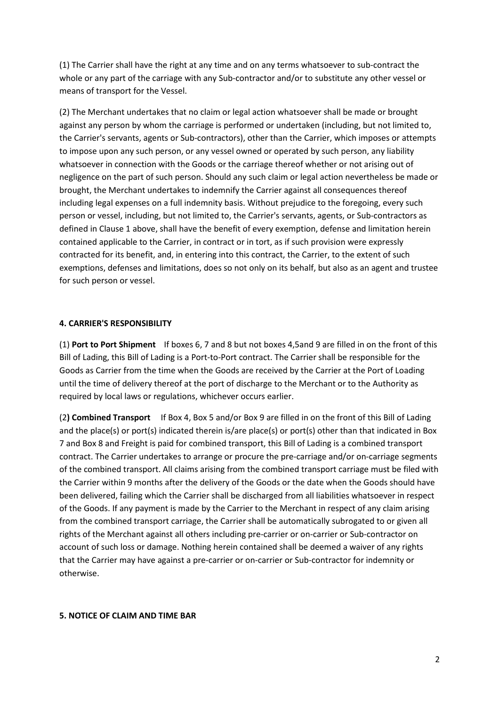(1) The Carrier shall have the right at any time and on any terms whatsoever to sub-contract the whole or any part of the carriage with any Sub-contractor and/or to substitute any other vessel or means of transport for the Vessel.

(2) The Merchant undertakes that no claim or legal action whatsoever shall be made or brought against any person by whom the carriage is performed or undertaken (including, but not limited to, the Carrier's servants, agents or Sub-contractors), other than the Carrier, which imposes or attempts to impose upon any such person, or any vessel owned or operated by such person, any liability whatsoever in connection with the Goods or the carriage thereof whether or not arising out of negligence on the part of such person. Should any such claim or legal action nevertheless be made or brought, the Merchant undertakes to indemnify the Carrier against all consequences thereof including legal expenses on a full indemnity basis. Without prejudice to the foregoing, every such person or vessel, including, but not limited to, the Carrier's servants, agents, or Sub-contractors as defined in Clause 1 above, shall have the benefit of every exemption, defense and limitation herein contained applicable to the Carrier, in contract or in tort, as if such provision were expressly contracted for its benefit, and, in entering into this contract, the Carrier, to the extent of such exemptions, defenses and limitations, does so not only on its behalf, but also as an agent and trustee for such person or vessel.

### **4. CARRIER'S RESPONSIBILITY**

(1) **Port to Port Shipment** If boxes 6, 7 and 8 but not boxes 4,5and 9 are filled in on the front of this Bill of Lading, this Bill of Lading is a Port-to-Port contract. The Carrier shall be responsible for the Goods as Carrier from the time when the Goods are received by the Carrier at the Port of Loading until the time of delivery thereof at the port of discharge to the Merchant or to the Authority as required by local laws or regulations, whichever occurs earlier.

(2**) Combined Transport** If Box 4, Box 5 and/or Box 9 are filled in on the front of this Bill of Lading and the place(s) or port(s) indicated therein is/are place(s) or port(s) other than that indicated in Box 7 and Box 8 and Freight is paid for combined transport, this Bill of Lading is a combined transport contract. The Carrier undertakes to arrange or procure the pre-carriage and/or on-carriage segments of the combined transport. All claims arising from the combined transport carriage must be filed with the Carrier within 9 months after the delivery of the Goods or the date when the Goods should have been delivered, failing which the Carrier shall be discharged from all liabilities whatsoever in respect of the Goods. If any payment is made by the Carrier to the Merchant in respect of any claim arising from the combined transport carriage, the Carrier shall be automatically subrogated to or given all rights of the Merchant against all others including pre-carrier or on-carrier or Sub-contractor on account of such loss or damage. Nothing herein contained shall be deemed a waiver of any rights that the Carrier may have against a pre-carrier or on-carrier or Sub-contractor for indemnity or otherwise.

#### **5. NOTICE OF CLAIM AND TIME BAR**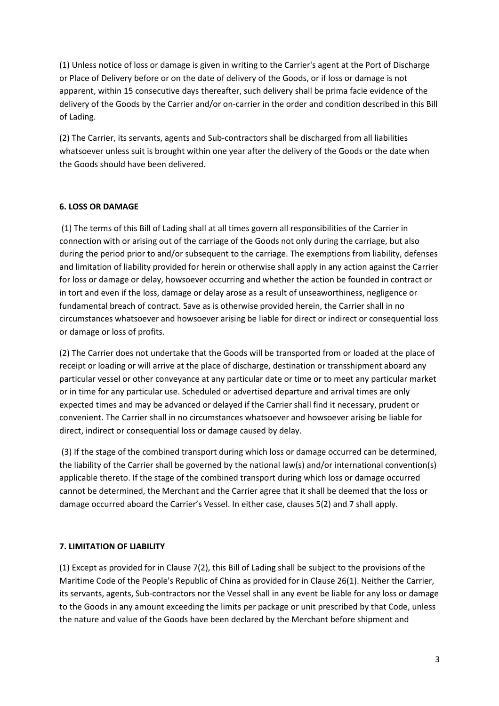(1) Unless notice of loss or damage is given in writing to the Carrier's agent at the Port of Discharge or Place of Delivery before or on the date of delivery of the Goods, or if loss or damage is not apparent, within 15 consecutive days thereafter, such delivery shall be prima facie evidence of the delivery of the Goods by the Carrier and/or on-carrier in the order and condition described in this Bill of Lading.

(2) The Carrier, its servants, agents and Sub-contractors shall be discharged from all liabilities whatsoever unless suit is brought within one year after the delivery of the Goods or the date when the Goods should have been delivered.

# **6. LOSS OR DAMAGE**

 (1) The terms of this Bill of Lading shall at all times govern all responsibilities of the Carrier in connection with or arising out of the carriage of the Goods not only during the carriage, but also during the period prior to and/or subsequent to the carriage. The exemptions from liability, defenses and limitation of liability provided for herein or otherwise shall apply in any action against the Carrier for loss or damage or delay, howsoever occurring and whether the action be founded in contract or in tort and even if the loss, damage or delay arose as a result of unseaworthiness, negligence or fundamental breach of contract. Save as is otherwise provided herein, the Carrier shall in no circumstances whatsoever and howsoever arising be liable for direct or indirect or consequential loss or damage or loss of profits.

(2) The Carrier does not undertake that the Goods will be transported from or loaded at the place of receipt or loading or will arrive at the place of discharge, destination or transshipment aboard any particular vessel or other conveyance at any particular date or time or to meet any particular market or in time for any particular use. Scheduled or advertised departure and arrival times are only expected times and may be advanced or delayed if the Carrier shall find it necessary, prudent or convenient. The Carrier shall in no circumstances whatsoever and howsoever arising be liable for direct, indirect or consequential loss or damage caused by delay.

 (3) If the stage of the combined transport during which loss or damage occurred can be determined, the liability of the Carrier shall be governed by the national law(s) and/or international convention(s) applicable thereto. If the stage of the combined transport during which loss or damage occurred cannot be determined, the Merchant and the Carrier agree that it shall be deemed that the loss or damage occurred aboard the Carrier's Vessel. In either case, clauses 5(2) and 7 shall apply.

## **7. LIMITATION OF LIABILITY**

(1) Except as provided for in Clause 7(2), this Bill of Lading shall be subject to the provisions of the Maritime Code of the People's Republic of China as provided for in Clause 26(1). Neither the Carrier, its servants, agents, Sub-contractors nor the Vessel shall in any event be liable for any loss or damage to the Goods in any amount exceeding the limits per package or unit prescribed by that Code, unless the nature and value of the Goods have been declared by the Merchant before shipment and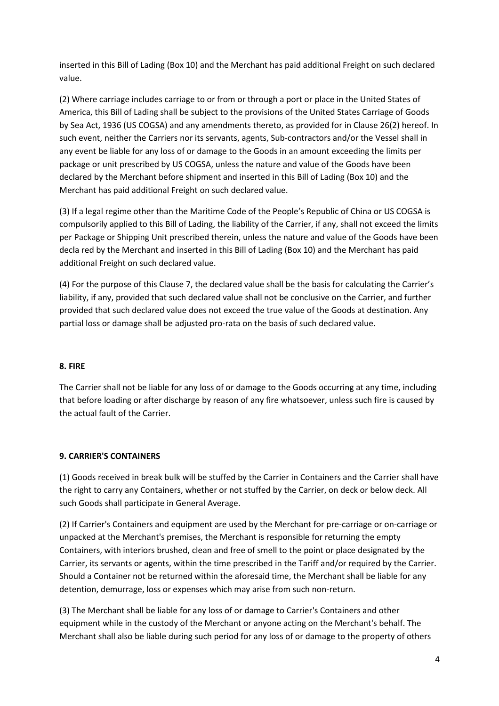inserted in this Bill of Lading (Box 10) and the Merchant has paid additional Freight on such declared value.

(2) Where carriage includes carriage to or from or through a port or place in the United States of America, this Bill of Lading shall be subject to the provisions of the United States Carriage of Goods by Sea Act, 1936 (US COGSA) and any amendments thereto, as provided for in Clause 26(2) hereof. In such event, neither the Carriers nor its servants, agents, Sub-contractors and/or the Vessel shall in any event be liable for any loss of or damage to the Goods in an amount exceeding the limits per package or unit prescribed by US COGSA, unless the nature and value of the Goods have been declared by the Merchant before shipment and inserted in this Bill of Lading (Box 10) and the Merchant has paid additional Freight on such declared value.

(3) If a legal regime other than the Maritime Code of the People's Republic of China or US COGSA is compulsorily applied to this Bill of Lading, the liability of the Carrier, if any, shall not exceed the limits per Package or Shipping Unit prescribed therein, unless the nature and value of the Goods have been decla red by the Merchant and inserted in this Bill of Lading (Box 10) and the Merchant has paid additional Freight on such declared value.

(4) For the purpose of this Clause 7, the declared value shall be the basis for calculating the Carrier's liability, if any, provided that such declared value shall not be conclusive on the Carrier, and further provided that such declared value does not exceed the true value of the Goods at destination. Any partial loss or damage shall be adjusted pro-rata on the basis of such declared value.

## **8. FIRE**

The Carrier shall not be liable for any loss of or damage to the Goods occurring at any time, including that before loading or after discharge by reason of any fire whatsoever, unless such fire is caused by the actual fault of the Carrier.

## **9. CARRIER'S CONTAINERS**

(1) Goods received in break bulk will be stuffed by the Carrier in Containers and the Carrier shall have the right to carry any Containers, whether or not stuffed by the Carrier, on deck or below deck. All such Goods shall participate in General Average.

(2) If Carrier's Containers and equipment are used by the Merchant for pre-carriage or on-carriage or unpacked at the Merchant's premises, the Merchant is responsible for returning the empty Containers, with interiors brushed, clean and free of smell to the point or place designated by the Carrier, its servants or agents, within the time prescribed in the Tariff and/or required by the Carrier. Should a Container not be returned within the aforesaid time, the Merchant shall be liable for any detention, demurrage, loss or expenses which may arise from such non-return.

(3) The Merchant shall be liable for any loss of or damage to Carrier's Containers and other equipment while in the custody of the Merchant or anyone acting on the Merchant's behalf. The Merchant shall also be liable during such period for any loss of or damage to the property of others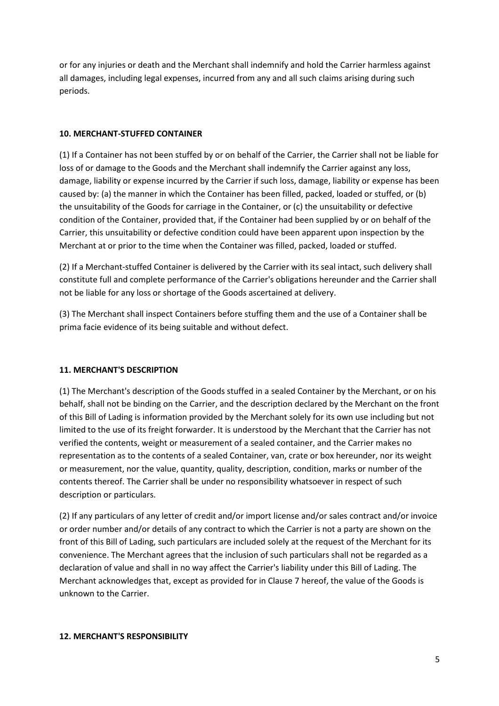or for any injuries or death and the Merchant shall indemnify and hold the Carrier harmless against all damages, including legal expenses, incurred from any and all such claims arising during such periods.

## **10. MERCHANT-STUFFED CONTAINER**

(1) If a Container has not been stuffed by or on behalf of the Carrier, the Carrier shall not be liable for loss of or damage to the Goods and the Merchant shall indemnify the Carrier against any loss, damage, liability or expense incurred by the Carrier if such loss, damage, liability or expense has been caused by: (a) the manner in which the Container has been filled, packed, loaded or stuffed, or (b) the unsuitability of the Goods for carriage in the Container, or (c) the unsuitability or defective condition of the Container, provided that, if the Container had been supplied by or on behalf of the Carrier, this unsuitability or defective condition could have been apparent upon inspection by the Merchant at or prior to the time when the Container was filled, packed, loaded or stuffed.

(2) If a Merchant-stuffed Container is delivered by the Carrier with its seal intact, such delivery shall constitute full and complete performance of the Carrier's obligations hereunder and the Carrier shall not be liable for any loss or shortage of the Goods ascertained at delivery.

(3) The Merchant shall inspect Containers before stuffing them and the use of a Container shall be prima facie evidence of its being suitable and without defect.

## **11. MERCHANT'S DESCRIPTION**

(1) The Merchant's description of the Goods stuffed in a sealed Container by the Merchant, or on his behalf, shall not be binding on the Carrier, and the description declared by the Merchant on the front of this Bill of Lading is information provided by the Merchant solely for its own use including but not limited to the use of its freight forwarder. It is understood by the Merchant that the Carrier has not verified the contents, weight or measurement of a sealed container, and the Carrier makes no representation as to the contents of a sealed Container, van, crate or box hereunder, nor its weight or measurement, nor the value, quantity, quality, description, condition, marks or number of the contents thereof. The Carrier shall be under no responsibility whatsoever in respect of such description or particulars.

(2) If any particulars of any letter of credit and/or import license and/or sales contract and/or invoice or order number and/or details of any contract to which the Carrier is not a party are shown on the front of this Bill of Lading, such particulars are included solely at the request of the Merchant for its convenience. The Merchant agrees that the inclusion of such particulars shall not be regarded as a declaration of value and shall in no way affect the Carrier's liability under this Bill of Lading. The Merchant acknowledges that, except as provided for in Clause 7 hereof, the value of the Goods is unknown to the Carrier.

#### **12. MERCHANT'S RESPONSIBILITY**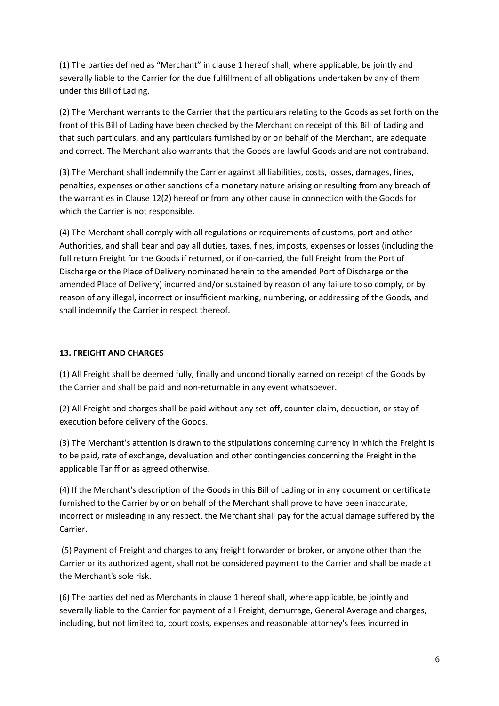(1) The parties defined as "Merchant" in clause 1 hereof shall, where applicable, be jointly and severally liable to the Carrier for the due fulfillment of all obligations undertaken by any of them under this Bill of Lading.

(2) The Merchant warrants to the Carrier that the particulars relating to the Goods as set forth on the front of this Bill of Lading have been checked by the Merchant on receipt of this Bill of Lading and that such particulars, and any particulars furnished by or on behalf of the Merchant, are adequate and correct. The Merchant also warrants that the Goods are lawful Goods and are not contraband.

(3) The Merchant shall indemnify the Carrier against all liabilities, costs, losses, damages, fines, penalties, expenses or other sanctions of a monetary nature arising or resulting from any breach of the warranties in Clause 12(2) hereof or from any other cause in connection with the Goods for which the Carrier is not responsible.

(4) The Merchant shall comply with all regulations or requirements of customs, port and other Authorities, and shall bear and pay all duties, taxes, fines, imposts, expenses or losses (including the full return Freight for the Goods if returned, or if on-carried, the full Freight from the Port of Discharge or the Place of Delivery nominated herein to the amended Port of Discharge or the amended Place of Delivery) incurred and/or sustained by reason of any failure to so comply, or by reason of any illegal, incorrect or insufficient marking, numbering, or addressing of the Goods, and shall indemnify the Carrier in respect thereof.

# **13. FREIGHT AND CHARGES**

(1) All Freight shall be deemed fully, finally and unconditionally earned on receipt of the Goods by the Carrier and shall be paid and non-returnable in any event whatsoever.

(2) All Freight and charges shall be paid without any set-off, counter-claim, deduction, or stay of execution before delivery of the Goods.

(3) The Merchant's attention is drawn to the stipulations concerning currency in which the Freight is to be paid, rate of exchange, devaluation and other contingencies concerning the Freight in the applicable Tariff or as agreed otherwise.

(4) If the Merchant's description of the Goods in this Bill of Lading or in any document or certificate furnished to the Carrier by or on behalf of the Merchant shall prove to have been inaccurate, incorrect or misleading in any respect, the Merchant shall pay for the actual damage suffered by the Carrier.

 (5) Payment of Freight and charges to any freight forwarder or broker, or anyone other than the Carrier or its authorized agent, shall not be considered payment to the Carrier and shall be made at the Merchant's sole risk.

(6) The parties defined as Merchants in clause 1 hereof shall, where applicable, be jointly and severally liable to the Carrier for payment of all Freight, demurrage, General Average and charges, including, but not limited to, court costs, expenses and reasonable attorney's fees incurred in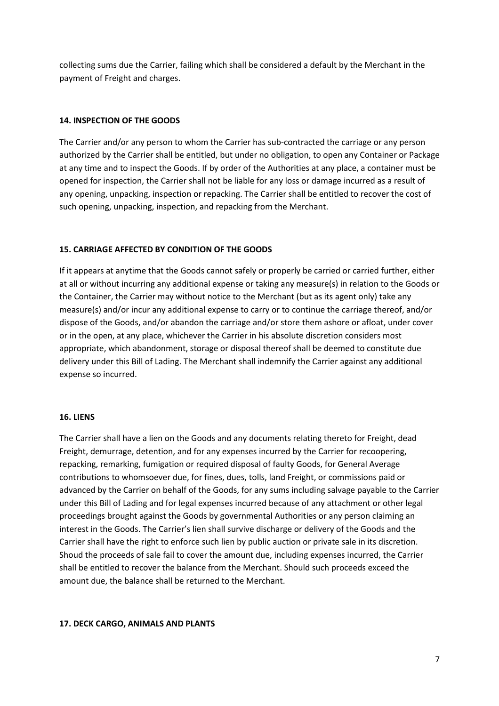collecting sums due the Carrier, failing which shall be considered a default by the Merchant in the payment of Freight and charges.

### **14. INSPECTION OF THE GOODS**

The Carrier and/or any person to whom the Carrier has sub-contracted the carriage or any person authorized by the Carrier shall be entitled, but under no obligation, to open any Container or Package at any time and to inspect the Goods. If by order of the Authorities at any place, a container must be opened for inspection, the Carrier shall not be liable for any loss or damage incurred as a result of any opening, unpacking, inspection or repacking. The Carrier shall be entitled to recover the cost of such opening, unpacking, inspection, and repacking from the Merchant.

### **15. CARRIAGE AFFECTED BY CONDITION OF THE GOODS**

If it appears at anytime that the Goods cannot safely or properly be carried or carried further, either at all or without incurring any additional expense or taking any measure(s) in relation to the Goods or the Container, the Carrier may without notice to the Merchant (but as its agent only) take any measure(s) and/or incur any additional expense to carry or to continue the carriage thereof, and/or dispose of the Goods, and/or abandon the carriage and/or store them ashore or afloat, under cover or in the open, at any place, whichever the Carrier in his absolute discretion considers most appropriate, which abandonment, storage or disposal thereof shall be deemed to constitute due delivery under this Bill of Lading. The Merchant shall indemnify the Carrier against any additional expense so incurred.

#### **16. LIENS**

The Carrier shall have a lien on the Goods and any documents relating thereto for Freight, dead Freight, demurrage, detention, and for any expenses incurred by the Carrier for recoopering, repacking, remarking, fumigation or required disposal of faulty Goods, for General Average contributions to whomsoever due, for fines, dues, tolls, land Freight, or commissions paid or advanced by the Carrier on behalf of the Goods, for any sums including salvage payable to the Carrier under this Bill of Lading and for legal expenses incurred because of any attachment or other legal proceedings brought against the Goods by governmental Authorities or any person claiming an interest in the Goods. The Carrier's lien shall survive discharge or delivery of the Goods and the Carrier shall have the right to enforce such lien by public auction or private sale in its discretion. Shoud the proceeds of sale fail to cover the amount due, including expenses incurred, the Carrier shall be entitled to recover the balance from the Merchant. Should such proceeds exceed the amount due, the balance shall be returned to the Merchant.

#### **17. DECK CARGO, ANIMALS AND PLANTS**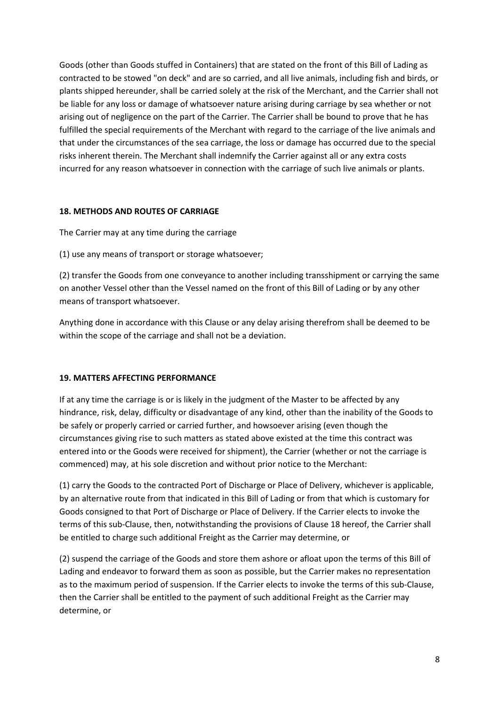Goods (other than Goods stuffed in Containers) that are stated on the front of this Bill of Lading as contracted to be stowed "on deck" and are so carried, and all live animals, including fish and birds, or plants shipped hereunder, shall be carried solely at the risk of the Merchant, and the Carrier shall not be liable for any loss or damage of whatsoever nature arising during carriage by sea whether or not arising out of negligence on the part of the Carrier. The Carrier shall be bound to prove that he has fulfilled the special requirements of the Merchant with regard to the carriage of the live animals and that under the circumstances of the sea carriage, the loss or damage has occurred due to the special risks inherent therein. The Merchant shall indemnify the Carrier against all or any extra costs incurred for any reason whatsoever in connection with the carriage of such live animals or plants.

### **18. METHODS AND ROUTES OF CARRIAGE**

The Carrier may at any time during the carriage

(1) use any means of transport or storage whatsoever;

(2) transfer the Goods from one conveyance to another including transshipment or carrying the same on another Vessel other than the Vessel named on the front of this Bill of Lading or by any other means of transport whatsoever.

Anything done in accordance with this Clause or any delay arising therefrom shall be deemed to be within the scope of the carriage and shall not be a deviation.

## **19. MATTERS AFFECTING PERFORMANCE**

If at any time the carriage is or is likely in the judgment of the Master to be affected by any hindrance, risk, delay, difficulty or disadvantage of any kind, other than the inability of the Goods to be safely or properly carried or carried further, and howsoever arising (even though the circumstances giving rise to such matters as stated above existed at the time this contract was entered into or the Goods were received for shipment), the Carrier (whether or not the carriage is commenced) may, at his sole discretion and without prior notice to the Merchant:

(1) carry the Goods to the contracted Port of Discharge or Place of Delivery, whichever is applicable, by an alternative route from that indicated in this Bill of Lading or from that which is customary for Goods consigned to that Port of Discharge or Place of Delivery. If the Carrier elects to invoke the terms of this sub-Clause, then, notwithstanding the provisions of Clause 18 hereof, the Carrier shall be entitled to charge such additional Freight as the Carrier may determine, or

(2) suspend the carriage of the Goods and store them ashore or afloat upon the terms of this Bill of Lading and endeavor to forward them as soon as possible, but the Carrier makes no representation as to the maximum period of suspension. If the Carrier elects to invoke the terms of this sub-Clause, then the Carrier shall be entitled to the payment of such additional Freight as the Carrier may determine, or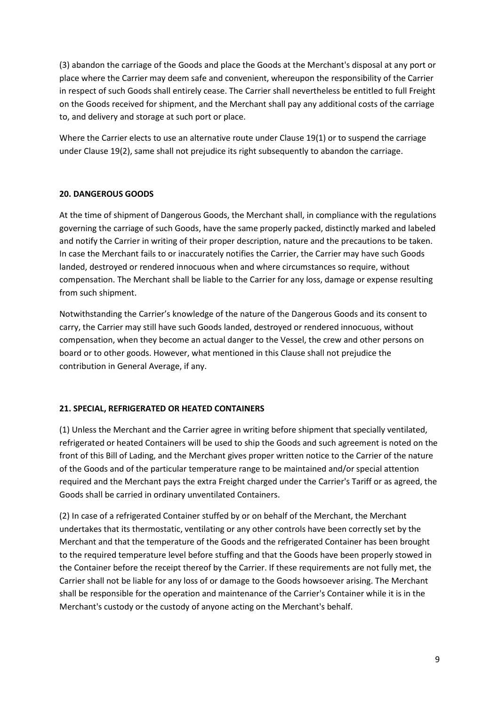(3) abandon the carriage of the Goods and place the Goods at the Merchant's disposal at any port or place where the Carrier may deem safe and convenient, whereupon the responsibility of the Carrier in respect of such Goods shall entirely cease. The Carrier shall nevertheless be entitled to full Freight on the Goods received for shipment, and the Merchant shall pay any additional costs of the carriage to, and delivery and storage at such port or place.

Where the Carrier elects to use an alternative route under Clause 19(1) or to suspend the carriage under Clause 19(2), same shall not prejudice its right subsequently to abandon the carriage.

## **20. DANGEROUS GOODS**

At the time of shipment of Dangerous Goods, the Merchant shall, in compliance with the regulations governing the carriage of such Goods, have the same properly packed, distinctly marked and labeled and notify the Carrier in writing of their proper description, nature and the precautions to be taken. In case the Merchant fails to or inaccurately notifies the Carrier, the Carrier may have such Goods landed, destroyed or rendered innocuous when and where circumstances so require, without compensation. The Merchant shall be liable to the Carrier for any loss, damage or expense resulting from such shipment.

Notwithstanding the Carrier's knowledge of the nature of the Dangerous Goods and its consent to carry, the Carrier may still have such Goods landed, destroyed or rendered innocuous, without compensation, when they become an actual danger to the Vessel, the crew and other persons on board or to other goods. However, what mentioned in this Clause shall not prejudice the contribution in General Average, if any.

# **21. SPECIAL, REFRIGERATED OR HEATED CONTAINERS**

(1) Unless the Merchant and the Carrier agree in writing before shipment that specially ventilated, refrigerated or heated Containers will be used to ship the Goods and such agreement is noted on the front of this Bill of Lading, and the Merchant gives proper written notice to the Carrier of the nature of the Goods and of the particular temperature range to be maintained and/or special attention required and the Merchant pays the extra Freight charged under the Carrier's Tariff or as agreed, the Goods shall be carried in ordinary unventilated Containers.

(2) In case of a refrigerated Container stuffed by or on behalf of the Merchant, the Merchant undertakes that its thermostatic, ventilating or any other controls have been correctly set by the Merchant and that the temperature of the Goods and the refrigerated Container has been brought to the required temperature level before stuffing and that the Goods have been properly stowed in the Container before the receipt thereof by the Carrier. If these requirements are not fully met, the Carrier shall not be liable for any loss of or damage to the Goods howsoever arising. The Merchant shall be responsible for the operation and maintenance of the Carrier's Container while it is in the Merchant's custody or the custody of anyone acting on the Merchant's behalf.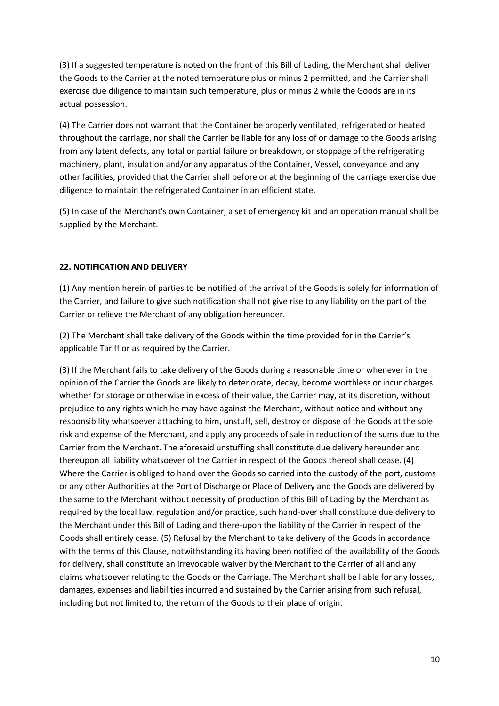(3) If a suggested temperature is noted on the front of this Bill of Lading, the Merchant shall deliver the Goods to the Carrier at the noted temperature plus or minus 2 permitted, and the Carrier shall exercise due diligence to maintain such temperature, plus or minus 2 while the Goods are in its actual possession.

(4) The Carrier does not warrant that the Container be properly ventilated, refrigerated or heated throughout the carriage, nor shall the Carrier be liable for any loss of or damage to the Goods arising from any latent defects, any total or partial failure or breakdown, or stoppage of the refrigerating machinery, plant, insulation and/or any apparatus of the Container, Vessel, conveyance and any other facilities, provided that the Carrier shall before or at the beginning of the carriage exercise due diligence to maintain the refrigerated Container in an efficient state.

(5) In case of the Merchant's own Container, a set of emergency kit and an operation manual shall be supplied by the Merchant.

## **22. NOTIFICATION AND DELIVERY**

(1) Any mention herein of parties to be notified of the arrival of the Goods is solely for information of the Carrier, and failure to give such notification shall not give rise to any liability on the part of the Carrier or relieve the Merchant of any obligation hereunder.

(2) The Merchant shall take delivery of the Goods within the time provided for in the Carrier's applicable Tariff or as required by the Carrier.

(3) If the Merchant fails to take delivery of the Goods during a reasonable time or whenever in the opinion of the Carrier the Goods are likely to deteriorate, decay, become worthless or incur charges whether for storage or otherwise in excess of their value, the Carrier may, at its discretion, without prejudice to any rights which he may have against the Merchant, without notice and without any responsibility whatsoever attaching to him, unstuff, sell, destroy or dispose of the Goods at the sole risk and expense of the Merchant, and apply any proceeds of sale in reduction of the sums due to the Carrier from the Merchant. The aforesaid unstuffing shall constitute due delivery hereunder and thereupon all liability whatsoever of the Carrier in respect of the Goods thereof shall cease. (4) Where the Carrier is obliged to hand over the Goods so carried into the custody of the port, customs or any other Authorities at the Port of Discharge or Place of Delivery and the Goods are delivered by the same to the Merchant without necessity of production of this Bill of Lading by the Merchant as required by the local law, regulation and/or practice, such hand-over shall constitute due delivery to the Merchant under this Bill of Lading and there-upon the liability of the Carrier in respect of the Goods shall entirely cease. (5) Refusal by the Merchant to take delivery of the Goods in accordance with the terms of this Clause, notwithstanding its having been notified of the availability of the Goods for delivery, shall constitute an irrevocable waiver by the Merchant to the Carrier of all and any claims whatsoever relating to the Goods or the Carriage. The Merchant shall be liable for any losses, damages, expenses and liabilities incurred and sustained by the Carrier arising from such refusal, including but not limited to, the return of the Goods to their place of origin.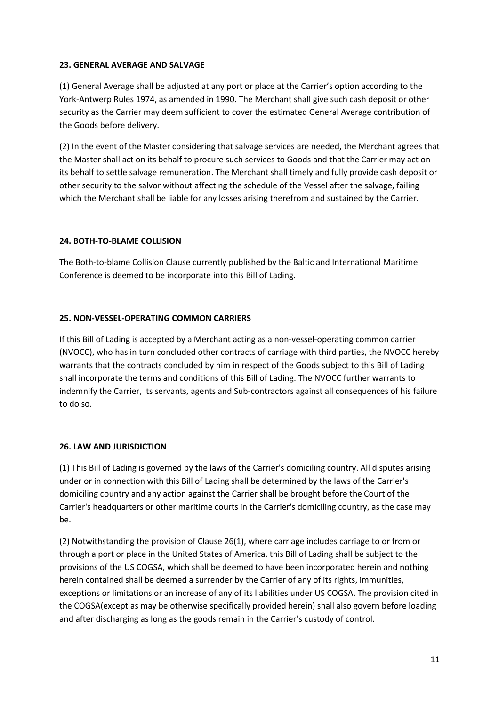### **23. GENERAL AVERAGE AND SALVAGE**

(1) General Average shall be adjusted at any port or place at the Carrier's option according to the York-Antwerp Rules 1974, as amended in 1990. The Merchant shall give such cash deposit or other security as the Carrier may deem sufficient to cover the estimated General Average contribution of the Goods before delivery.

(2) In the event of the Master considering that salvage services are needed, the Merchant agrees that the Master shall act on its behalf to procure such services to Goods and that the Carrier may act on its behalf to settle salvage remuneration. The Merchant shall timely and fully provide cash deposit or other security to the salvor without affecting the schedule of the Vessel after the salvage, failing which the Merchant shall be liable for any losses arising therefrom and sustained by the Carrier.

## **24. BOTH-TO-BLAME COLLISION**

The Both-to-blame Collision Clause currently published by the Baltic and International Maritime Conference is deemed to be incorporate into this Bill of Lading.

## **25. NON-VESSEL-OPERATING COMMON CARRIERS**

If this Bill of Lading is accepted by a Merchant acting as a non-vessel-operating common carrier (NVOCC), who has in turn concluded other contracts of carriage with third parties, the NVOCC hereby warrants that the contracts concluded by him in respect of the Goods subject to this Bill of Lading shall incorporate the terms and conditions of this Bill of Lading. The NVOCC further warrants to indemnify the Carrier, its servants, agents and Sub-contractors against all consequences of his failure to do so.

## **26. LAW AND JURISDICTION**

(1) This Bill of Lading is governed by the laws of the Carrier's domiciling country. All disputes arising under or in connection with this Bill of Lading shall be determined by the laws of the Carrier's domiciling country and any action against the Carrier shall be brought before the Court of the Carrier's headquarters or other maritime courts in the Carrier's domiciling country, as the case may be.

(2) Notwithstanding the provision of Clause 26(1), where carriage includes carriage to or from or through a port or place in the United States of America, this Bill of Lading shall be subject to the provisions of the US COGSA, which shall be deemed to have been incorporated herein and nothing herein contained shall be deemed a surrender by the Carrier of any of its rights, immunities, exceptions or limitations or an increase of any of its liabilities under US COGSA. The provision cited in the COGSA(except as may be otherwise specifically provided herein) shall also govern before loading and after discharging as long as the goods remain in the Carrier's custody of control.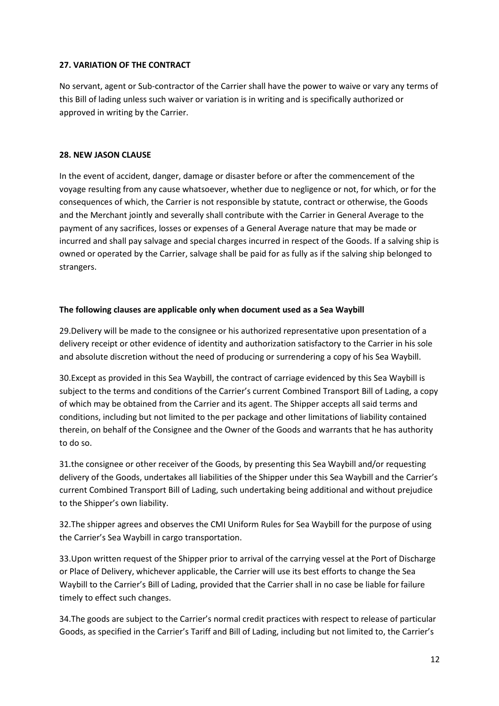### **27. VARIATION OF THE CONTRACT**

No servant, agent or Sub-contractor of the Carrier shall have the power to waive or vary any terms of this Bill of lading unless such waiver or variation is in writing and is specifically authorized or approved in writing by the Carrier.

### **28. NEW JASON CLAUSE**

In the event of accident, danger, damage or disaster before or after the commencement of the voyage resulting from any cause whatsoever, whether due to negligence or not, for which, or for the consequences of which, the Carrier is not responsible by statute, contract or otherwise, the Goods and the Merchant jointly and severally shall contribute with the Carrier in General Average to the payment of any sacrifices, losses or expenses of a General Average nature that may be made or incurred and shall pay salvage and special charges incurred in respect of the Goods. If a salving ship is owned or operated by the Carrier, salvage shall be paid for as fully as if the salving ship belonged to strangers.

### **The following clauses are applicable only when document used as a Sea Waybill**

29.Delivery will be made to the consignee or his authorized representative upon presentation of a delivery receipt or other evidence of identity and authorization satisfactory to the Carrier in his sole and absolute discretion without the need of producing or surrendering a copy of his Sea Waybill.

30.Except as provided in this Sea Waybill, the contract of carriage evidenced by this Sea Waybill is subject to the terms and conditions of the Carrier's current Combined Transport Bill of Lading, a copy of which may be obtained from the Carrier and its agent. The Shipper accepts all said terms and conditions, including but not limited to the per package and other limitations of liability contained therein, on behalf of the Consignee and the Owner of the Goods and warrants that he has authority to do so.

31.the consignee or other receiver of the Goods, by presenting this Sea Waybill and/or requesting delivery of the Goods, undertakes all liabilities of the Shipper under this Sea Waybill and the Carrier's current Combined Transport Bill of Lading, such undertaking being additional and without prejudice to the Shipper's own liability.

32.The shipper agrees and observes the CMI Uniform Rules for Sea Waybill for the purpose of using the Carrier's Sea Waybill in cargo transportation.

33.Upon written request of the Shipper prior to arrival of the carrying vessel at the Port of Discharge or Place of Delivery, whichever applicable, the Carrier will use its best efforts to change the Sea Waybill to the Carrier's Bill of Lading, provided that the Carrier shall in no case be liable for failure timely to effect such changes.

34.The goods are subject to the Carrier's normal credit practices with respect to release of particular Goods, as specified in the Carrier's Tariff and Bill of Lading, including but not limited to, the Carrier's